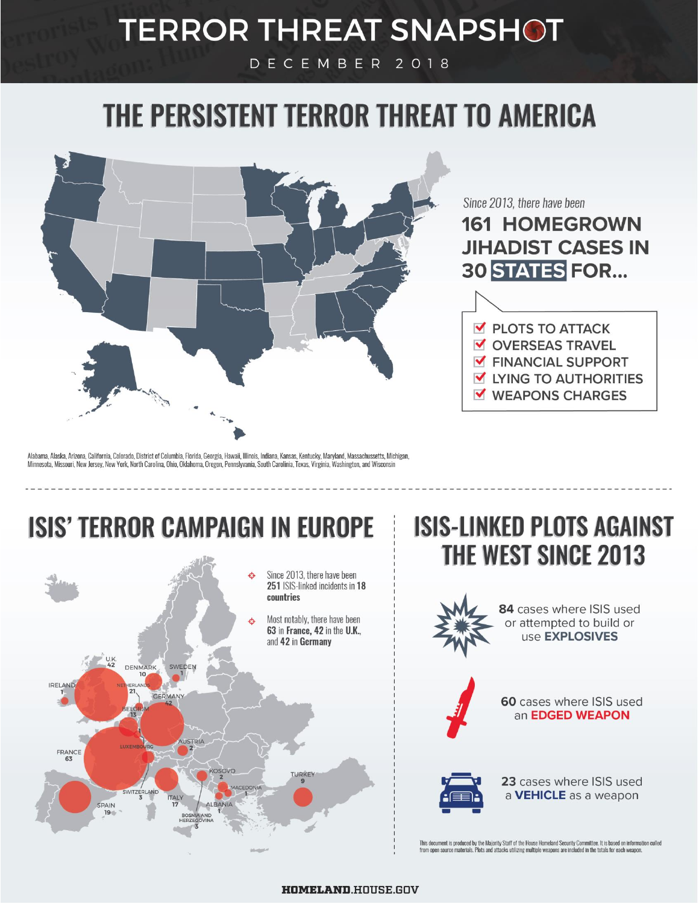## **TERROR THREAT SNAPSHOT**

DECEMBER 2018

# THE PERSISTENT TERROR THREAT TO AMERICA



Since 2013, there have been

**161 HOMEGROWN JIHADIST CASES IN 30 STATES FOR...** 



Alabama, Alaska, Arizona, California, Colorado, District of Columbia, Florida, Georgia, Hawaii, Illinois, Indiana, Kansas, Kentucky, Maryland, Massachussetts, Michigan, Minnesota, Missouri, New Jersey, New York, North Carolina, Ohio, Oklahoma, Oregon, Pennslyvania, South Carolinia, Texas, Virginia, Washington, and Wisconsin

### **ISIS' TERROR CAMPAIGN IN EUROPE**



### **ISIS-LINKED PLOTS AGAINST THE WEST SINCE 2013**



This document is produced by the Majority Staff of the House Homeland Security Committee. It is based on information culled<br>from open source materials. Plots and attacks utilizing multiple weapons are included in the total

#### **HOMELAND.HOUSE.GOV**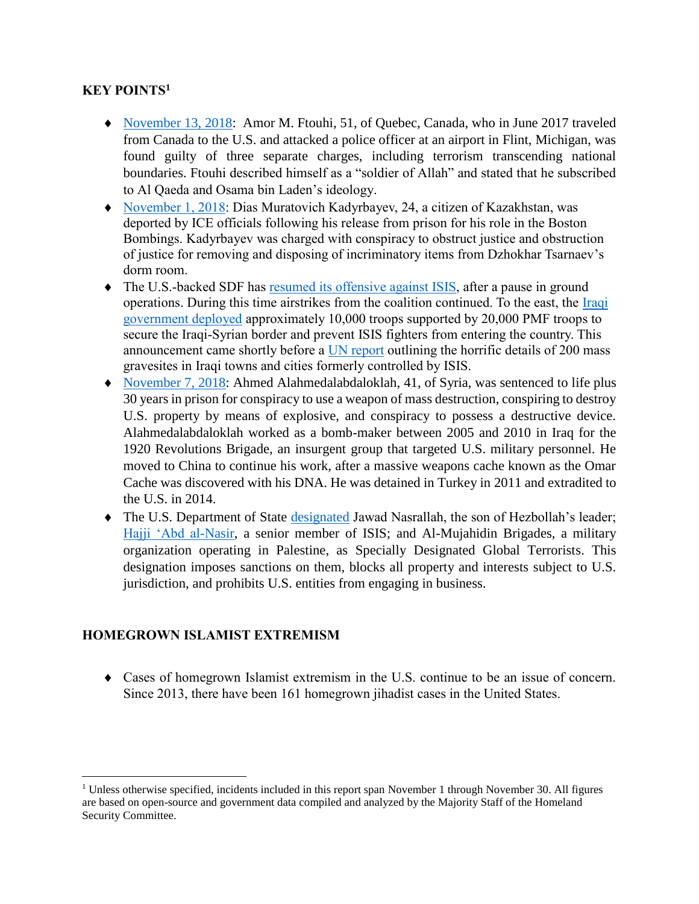#### **KEY POINTS<sup>1</sup>**

- [November 13, 2018:](https://www.justice.gov/opa/pr/canadian-man-found-guilty-committing-act-terrorism-transcending-national-boundaries-and-other) Amor M. Ftouhi, 51, of Quebec, Canada, who in June 2017 traveled from Canada to the U.S. and attacked a police officer at an airport in Flint, Michigan, was found guilty of three separate charges, including terrorism transcending national boundaries. Ftouhi described himself as a "soldier of Allah" and stated that he subscribed to Al Qaeda and Osama bin Laden's ideology.
- [November 1, 2018:](https://www.ice.gov/news/releases/ice-dallas-officers-remove-kazakhstani-man-convicted-concealing-evidence-boston) Dias Muratovich Kadyrbayev, 24, a citizen of Kazakhstan, was deported by ICE officials following his release from prison for his role in the Boston Bombings. Kadyrbayev was charged with conspiracy to obstruct justice and obstruction of justice for removing and disposing of incriminatory items from Dzhokhar Tsarnaev's dorm room.
- The U.S.-backed SDF has resumed [its offensive against ISIS,](https://www.militarytimes.com/news/your-army/2018/11/13/us-backed-fighters-resume-final-offensive-against-isis-after-pause-to-deal-with-turkish-tensions/) after a pause in ground operations. During this time airstrikes from the coalition continued. To the east, the [Iraqi](https://www.nbcnews.com/news/world/iraq-deploys-30-000-fighters-secure-syrian-border-isis-n930281)  [government deployed](https://www.nbcnews.com/news/world/iraq-deploys-30-000-fighters-secure-syrian-border-isis-n930281) approximately 10,000 troops supported by 20,000 PMF troops to secure the Iraqi-Syrian border and prevent ISIS fighters from entering the country. This announcement came shortly before a [UN report](https://www.cnn.com/2018/11/06/middleeast/mass-graves-isis-un-intl/index.html) outlining the horrific details of 200 mass gravesites in Iraqi towns and cities formerly controlled by ISIS.
- [November 7, 2018:](https://www.justice.gov/opa/pr/syrian-man-sentenced-terrorism-related-crimes) Ahmed Alahmedalabdaloklah, 41, of Syria, was sentenced to life plus 30 years in prison for conspiracy to use a weapon of mass destruction, conspiring to destroy U.S. property by means of explosive, and conspiracy to possess a destructive device. Alahmedalabdaloklah worked as a bomb-maker between 2005 and 2010 in Iraq for the 1920 Revolutions Brigade, an insurgent group that targeted U.S. military personnel. He moved to China to continue his work, after a massive weapons cache known as the Omar Cache was discovered with his DNA. He was detained in Turkey in 2011 and extradited to the U.S. in 2014.
- The U.S. Department of State [designated](https://www.state.gov/r/pa/prs/ps/2018/11/287318.htm) Jawad Nasrallah, the son of Hezbollah's leader; [Hajji 'Abd al-Nasir,](https://www.state.gov/r/pa/prs/ps/2018/11/287473.htm) a senior member of ISIS; and Al-Mujahidin Brigades, a military organization operating in Palestine, as Specially Designated Global Terrorists. This designation imposes sanctions on them, blocks all property and interests subject to U.S. jurisdiction, and prohibits U.S. entities from engaging in business.

#### **HOMEGROWN ISLAMIST EXTREMISM**

 $\overline{\phantom{a}}$ 

 Cases of homegrown Islamist extremism in the U.S. continue to be an issue of concern. Since 2013, there have been 161 homegrown jihadist cases in the United States.

<sup>&</sup>lt;sup>1</sup> Unless otherwise specified, incidents included in this report span November 1 through November 30. All figures are based on open-source and government data compiled and analyzed by the Majority Staff of the Homeland Security Committee.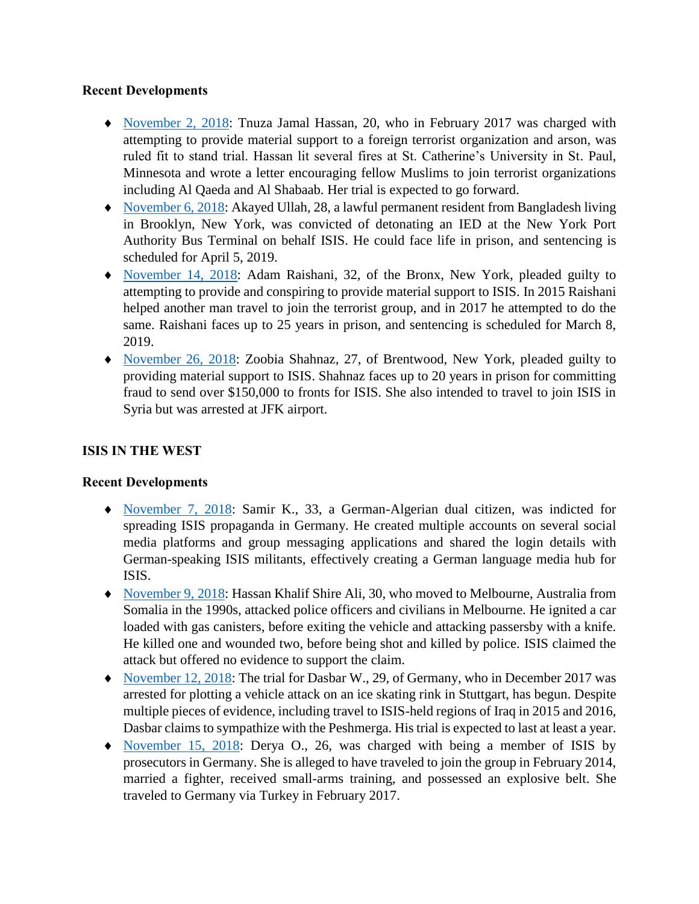#### **Recent Developments**

- [November 2, 2018:](http://www.startribune.com/former-st-catherine-university-student-capable-of-understanding-terrorism-charges-doctor-testifies/499441811/) Tnuza Jamal Hassan, 20, who in February 2017 was charged with attempting to provide material support to a foreign terrorist organization and arson, was ruled fit to stand trial. Hassan lit several fires at St. Catherine's University in St. Paul, Minnesota and wrote a letter encouraging fellow Muslims to join terrorist organizations including Al Qaeda and Al Shabaab. Her trial is expected to go forward.
- [November 6, 2018:](https://www.justice.gov/opa/pr/akayed-ullah-convicted-detonation-bomb-new-york-city) Akayed Ullah, 28, a lawful permanent resident from Bangladesh living in Brooklyn, New York, was convicted of detonating an IED at the New York Port Authority Bus Terminal on behalf ISIS. He could face life in prison, and sentencing is scheduled for April 5, 2019.
- [November 14, 2018:](https://www.justice.gov/usao-sdny/pr/bronx-man-pleads-guilty-manhattan-federal-court-attempting-provide-and-conspiring) Adam Raishani, 32, of the Bronx, New York, pleaded guilty to attempting to provide and conspiring to provide material support to ISIS. In 2015 Raishani helped another man travel to join the terrorist group, and in 2017 he attempted to do the same. Raishani faces up to 25 years in prison, and sentencing is scheduled for March 8, 2019.
- [November 26, 2018:](https://www.justice.gov/opa/pr/new-york-woman-pleads-guilty-providing-material-support-isis) Zoobia Shahnaz, 27, of Brentwood, New York, pleaded guilty to providing material support to ISIS. Shahnaz faces up to 20 years in prison for committing fraud to send over \$150,000 to fronts for ISIS. She also intended to travel to join ISIS in Syria but was arrested at JFK airport.

#### **ISIS IN THE WEST**

#### **Recent Developments**

- [November 7, 2018:](https://www.apnews.com/fff291022e544007976b7a22bcdfcfc3) Samir K., 33, a German-Algerian dual citizen, was indicted for spreading ISIS propaganda in Germany. He created multiple accounts on several social media platforms and group messaging applications and shared the login details with German-speaking ISIS militants, effectively creating a German language media hub for ISIS.
- [November 9, 2018:](https://www.theguardian.com/australia-news/2018/nov/09/melbourne-bourke-street-attack-dead-injured-man-arrested-stabbings) Hassan Khalif Shire Ali, 30, who moved to Melbourne, Australia from Somalia in the 1990s, attacked police officers and civilians in Melbourne. He ignited a car loaded with gas canisters, before exiting the vehicle and attacking passersby with a knife. He killed one and wounded two, before being shot and killed by police. ISIS claimed the attack but offered no evidence to support the claim.
- [November 12, 2018:](https://www.dw.com/en/german-is-ice-rink-terror-suspect-trial-starts-in-stuttgart/a-46255483) The trial for Dasbar W., 29, of Germany, who in December 2017 was arrested for plotting a vehicle attack on an ice skating rink in Stuttgart, has begun. Despite multiple pieces of evidence, including travel to ISIS-held regions of Iraq in 2015 and 2016, Dasbar claims to sympathize with the Peshmerga. His trial is expected to last at least a year.
- [November 15, 2018:](https://apnews.com/28e68f117b0042cc933cd055dfb9a6c4) Derya O., 26, was charged with being a member of ISIS by prosecutors in Germany. She is alleged to have traveled to join the group in February 2014, married a fighter, received small-arms training, and possessed an explosive belt. She traveled to Germany via Turkey in February 2017.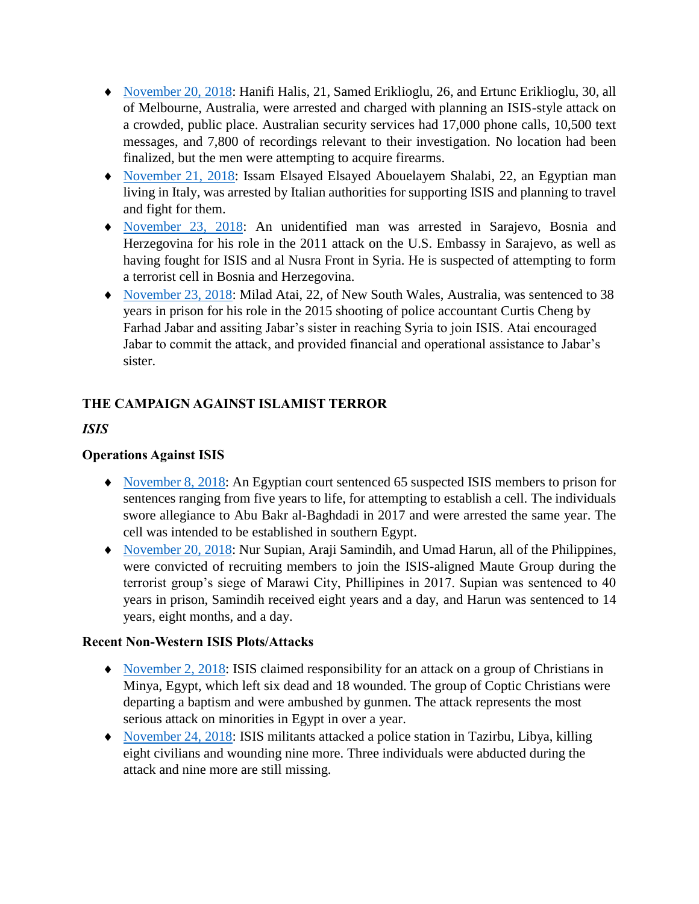- [November 20, 2018:](https://www.nbcnews.com/news/world/three-australians-accused-planning-attack-targeting-crowded-place-n938301) Hanifi Halis, 21, Samed Eriklioglu, 26, and Ertunc Eriklioglu, 30, all of Melbourne, Australia, were arrested and charged with planning an ISIS-style attack on a crowded, public place. Australian security services had 17,000 phone calls, 10,500 text messages, and 7,800 of recordings relevant to their investigation. No location had been finalized, but the men were attempting to acquire firearms.
- [November 21, 2018:](https://abcnews.go.com/International/wireStory/italy-arrests-egyptian-accused-backing-islamic-state-59337753) Issam Elsayed Elsayed Abouelayem Shalabi, 22, an Egyptian man living in Italy, was arrested by Italian authorities for supporting ISIS and planning to travel and fight for them.
- [November 23, 2018:](https://www.reuters.com/article/us-bosnia-security-arrests/bosnia-arrests-islamist-militant-on-terrorism-charges-statement-idUSKCN1NS1MJ) An unidentified man was arrested in Sarajevo, Bosnia and Herzegovina for his role in the 2011 attack on the U.S. Embassy in Sarajevo, as well as having fought for ISIS and al Nusra Front in Syria. He is suspected of attempting to form a terrorist cell in Bosnia and Herzegovina.
- [November 23, 2018:](file:///C:/Users/Jware1/AppData/Local/Microsoft/Windows/INetCache/Content.Outlook/J7GK2UHE/Milad%20Atai) Milad Atai, 22, of New South Wales, Australia, was sentenced to 38 years in prison for his role in the 2015 shooting of police accountant Curtis Cheng by Farhad Jabar and assiting Jabar's sister in reaching Syria to join ISIS. Atai encouraged Jabar to commit the attack, and provided financial and operational assistance to Jabar's sister.

#### **THE CAMPAIGN AGAINST ISLAMIST TERROR**

#### *ISIS*

#### **Operations Against ISIS**

- [November 8, 2018:](https://thedefensepost.com/2018/11/08/egypt-court-jails-65-isis-membership-upper-egypt/) An Egyptian court sentenced 65 suspected ISIS members to prison for sentences ranging from five years to life, for attempting to establish a cell. The individuals swore allegiance to Abu Bakr al-Baghdadi in 2017 and were arrested the same year. The cell was intended to be established in southern Egypt.
- [November 20, 2018:](https://www.philstar.com/headlines/2018/11/20/1870233/recruiter-during-marawi-siege-convicted-terrorism) Nur Supian, Araji Samindih, and Umad Harun, all of the Philippines, were convicted of recruiting members to join the ISIS-aligned Maute Group during the terrorist group's siege of Marawi City, Phillipines in 2017. Supian was sentenced to 40 years in prison, Samindih received eight years and a day, and Harun was sentenced to 14 years, eight months, and a day.

#### **Recent Non-Western ISIS Plots/Attacks**

- [November 2, 2018:](https://www.reuters.com/article/us-egypt-security/gunmen-kill-seven-on-bus-bound-for-egyptian-monastery-archbishop-idUSKCN1N71L8) ISIS claimed responsibility for an attack on a group of Christians in Minya, Egypt, which left six dead and 18 wounded. The group of Coptic Christians were departing a baptism and were ambushed by gunmen. The attack represents the most serious attack on minorities in Egypt in over a year.
- [November 24, 2018:](https://apnews.com/ee2d8b7a65464cd49720591e6d73ee72) ISIS militants attacked a police station in Tazirbu, Libya, killing eight civilians and wounding nine more. Three individuals were abducted during the attack and nine more are still missing.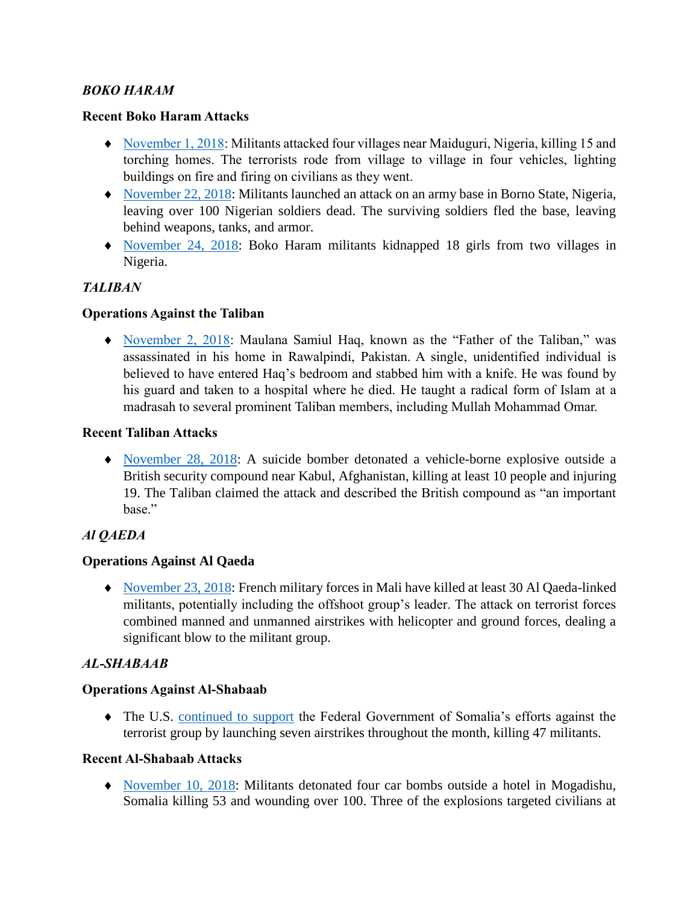#### *BOKO HARAM*

#### **Recent Boko Haram Attacks**

- [November 1, 2018:](https://www.washingtonpost.com/world/africa/18-girls-kidnapped-by-boko-haram-in-niger-official-says/2018/11/24/bb606196-f01b-11e8-8b47-bd0975fd6199_story.html?utm_term=.a575921b8486) Militants attacked four villages near Maiduguri, Nigeria, killing 15 and torching homes. The terrorists rode from village to village in four vehicles, lighting buildings on fire and firing on civilians as they went.
- [November 22, 2018:](https://af.reuters.com/article/nigeriaNews/idAFL8N1XX4QI?feedType=RSS&feedName=nigeriaNews) Militants launched an attack on an army base in Borno State, Nigeria, leaving over 100 Nigerian soldiers dead. The surviving soldiers fled the base, leaving behind weapons, tanks, and armor.
- [November 24, 2018:](https://www.washingtonpost.com/world/africa/18-girls-kidnapped-by-boko-haram-in-niger-official-says/2018/11/24/bb606196-f01b-11e8-8b47-bd0975fd6199_story.html?utm_term=.a575921b8486) Boko Haram militants kidnapped 18 girls from two villages in Nigeria.

#### *TALIBAN*

#### **Operations Against the Taliban**

 [November 2, 2018:](https://www.theguardian.com/world/2018/nov/02/pakistan-maulana-samiul-haq-father-of-the-taliban-cleric-killed-in-knife-attack) Maulana Samiul Haq, known as the "Father of the Taliban," was assassinated in his home in Rawalpindi, Pakistan. A single, unidentified individual is believed to have entered Haq's bedroom and stabbed him with a knife. He was found by his guard and taken to a hospital where he died. He taught a radical form of Islam at a madrasah to several prominent Taliban members, including Mullah Mohammad Omar.

#### **Recent Taliban Attacks**

 [November 28, 2018:](https://www.washingtonpost.com/world/asia_pacific/huge-explosion-reported-near-foreign-compound-on-outskirts-of-afghan-capital/2018/11/28/00d147d8-f31c-11e8-aeea-b85fd44449f5_story.html?utm_term=.5a6bfbacb831) A suicide bomber detonated a vehicle-borne explosive outside a British security compound near Kabul, Afghanistan, killing at least 10 people and injuring 19. The Taliban claimed the attack and described the British compound as "an important base."

#### *Al QAEDA*

#### **Operations Against Al Qaeda**

◆ [November 23, 2018:](https://www.washingtonpost.com/world/europe/french-forces-kill-at-least-30-extremists-in-central-mali/2018/11/23/5dbe4d06-ef61-11e8-8b47-bd0975fd6199_story.html?utm_term=.bff42ea8d692) French military forces in Mali have killed at least 30 Al Qaeda-linked militants, potentially including the offshoot group's leader. The attack on terrorist forces combined manned and unmanned airstrikes with helicopter and ground forces, dealing a significant blow to the militant group.

#### *AL-SHABAAB*

#### **Operations Against Al-Shabaab**

 The U.S. [continued to support](https://www.africom.mil/media-room/press-releases) the Federal Government of Somalia's efforts against the terrorist group by launching seven airstrikes throughout the month, killing 47 militants.

#### **Recent Al-Shabaab Attacks**

 [November 10, 2018:](https://apnews.com/18c1c6ca484e4bc081ad13459dd89a85) Militants detonated four car bombs outside a hotel in Mogadishu, Somalia killing 53 and wounding over 100. Three of the explosions targeted civilians at